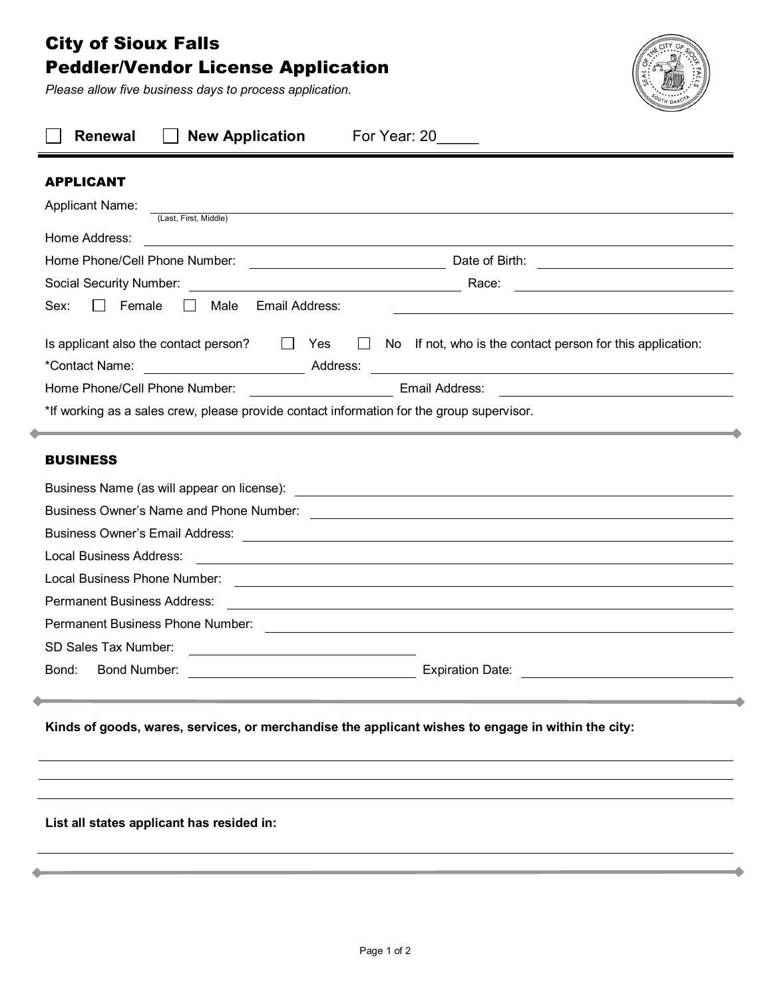## City of Sioux Falls Peddler/Vendor License Application

*Please allow five business days to process application.*



| <b>APPLICANT</b><br><b>Applicant Name:</b><br>and the control of the control of the control of the control of the control of the control of the control of the<br>(Last, First, Middle)<br>Home Address:<br>Race:<br><u> The Communication of the Communication</u><br>Email Address:<br>Female<br>Male<br>Sex:<br>$\Box$<br>$\perp$<br>Is applicant also the contact person? $\Box$ Yes<br>$\Box$ No If not, who is the contact person for this application:<br>*Contact Name: <u>New York Contact Name:</u> Address:<br><u> 1980 - Jan James Sand, Amerikaansk politiker († 1901)</u><br><b>Example 2014</b> Email Address: <b>Contract 2014</b> 2022 2023 2024 2024 2022 2024 2022 2024 2022 2022 2024 2022 2022 2024<br>Home Phone/Cell Phone Number:<br>*If working as a sales crew, please provide contact information for the group supervisor. |
|--------------------------------------------------------------------------------------------------------------------------------------------------------------------------------------------------------------------------------------------------------------------------------------------------------------------------------------------------------------------------------------------------------------------------------------------------------------------------------------------------------------------------------------------------------------------------------------------------------------------------------------------------------------------------------------------------------------------------------------------------------------------------------------------------------------------------------------------------------|
|                                                                                                                                                                                                                                                                                                                                                                                                                                                                                                                                                                                                                                                                                                                                                                                                                                                        |
|                                                                                                                                                                                                                                                                                                                                                                                                                                                                                                                                                                                                                                                                                                                                                                                                                                                        |
|                                                                                                                                                                                                                                                                                                                                                                                                                                                                                                                                                                                                                                                                                                                                                                                                                                                        |
|                                                                                                                                                                                                                                                                                                                                                                                                                                                                                                                                                                                                                                                                                                                                                                                                                                                        |
|                                                                                                                                                                                                                                                                                                                                                                                                                                                                                                                                                                                                                                                                                                                                                                                                                                                        |
|                                                                                                                                                                                                                                                                                                                                                                                                                                                                                                                                                                                                                                                                                                                                                                                                                                                        |
|                                                                                                                                                                                                                                                                                                                                                                                                                                                                                                                                                                                                                                                                                                                                                                                                                                                        |
|                                                                                                                                                                                                                                                                                                                                                                                                                                                                                                                                                                                                                                                                                                                                                                                                                                                        |
|                                                                                                                                                                                                                                                                                                                                                                                                                                                                                                                                                                                                                                                                                                                                                                                                                                                        |
|                                                                                                                                                                                                                                                                                                                                                                                                                                                                                                                                                                                                                                                                                                                                                                                                                                                        |
|                                                                                                                                                                                                                                                                                                                                                                                                                                                                                                                                                                                                                                                                                                                                                                                                                                                        |
| Local Business Address:<br><u> 1988 - Johann Stoff, deutscher Stoffen und der Stoffen und der Stoffen und der Stoffen und der Stoffen und d</u><br>Local Business Phone Number:<br><u> 1999 - Johann Stoff, amerikansk politiker (d. 1989)</u><br><b>Permanent Business Address:</b><br><u> 1980 - Andrea Station Barbara, amerikan personal di sebagai personal di sebagai personal di sebagai personal </u><br>SD Sales Tax Number:<br><u> 1989 - Johann Stoff, fransk politik (d. 1989)</u><br><b>Bond Number:</b><br><b>Expiration Date:</b><br>Bond:<br><u> 1980 - Jan Barbara Barbara, prima popular popular popular popular popular popular popular popular popular po</u>                                                                                                                                                                      |
| Kinds of goods, wares, services, or merchandise the applicant wishes to engage in within the city:<br>List all states applicant has resided in:                                                                                                                                                                                                                                                                                                                                                                                                                                                                                                                                                                                                                                                                                                        |
|                                                                                                                                                                                                                                                                                                                                                                                                                                                                                                                                                                                                                                                                                                                                                                                                                                                        |